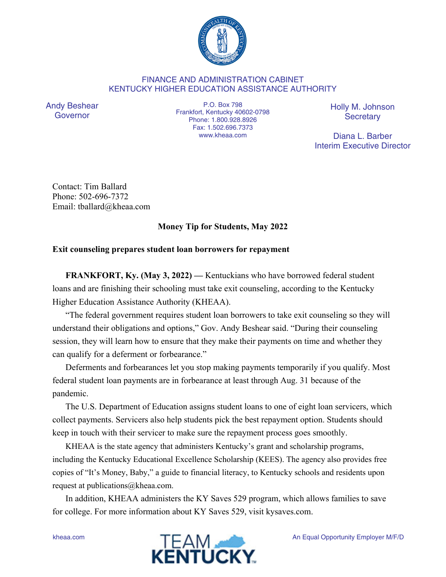

## FINANCE AND ADMINISTRATION CABINET KENTUCKY HIGHER EDUCATION ASSISTANCE AUTHORITY

Andy Beshear Governor

P.O. Box 798 Frankfort, Kentucky 40602-0798 Phone: 1.800.928.8926 Fax: 1.502.696.7373 www.kheaa.com

Holly M. Johnson **Secretary** 

Diana L. Barber Interim Executive Director

Contact: Tim Ballard Phone: 502-696-7372 Email: tballard@kheaa.com

## **Money Tip for Students, May 2022**

## **Exit counseling prepares student loan borrowers for repayment**

**FRANKFORT, Ky. (May 3, 2022) —** Kentuckians who have borrowed federal student loans and are finishing their schooling must take exit counseling, according to the Kentucky Higher Education Assistance Authority (KHEAA).

"The federal government requires student loan borrowers to take exit counseling so they will understand their obligations and options," Gov. Andy Beshear said. "During their counseling session, they will learn how to ensure that they make their payments on time and whether they can qualify for a deferment or forbearance."

Deferments and forbearances let you stop making payments temporarily if you qualify. Most federal student loan payments are in forbearance at least through Aug. 31 because of the pandemic.

The U.S. Department of Education assigns student loans to one of eight loan servicers, which collect payments. Servicers also help students pick the best repayment option. Students should keep in touch with their servicer to make sure the repayment process goes smoothly.

KHEAA is the state agency that administers Kentucky's grant and scholarship programs, including the Kentucky Educational Excellence Scholarship (KEES). The agency also provides free copies of "It's Money, Baby," a guide to financial literacy, to Kentucky schools and residents upon request at publications@kheaa.com.

In addition, KHEAA administers the KY Saves 529 program, which allows families to save for college. For more information about KY Saves 529, visit kysaves.com.